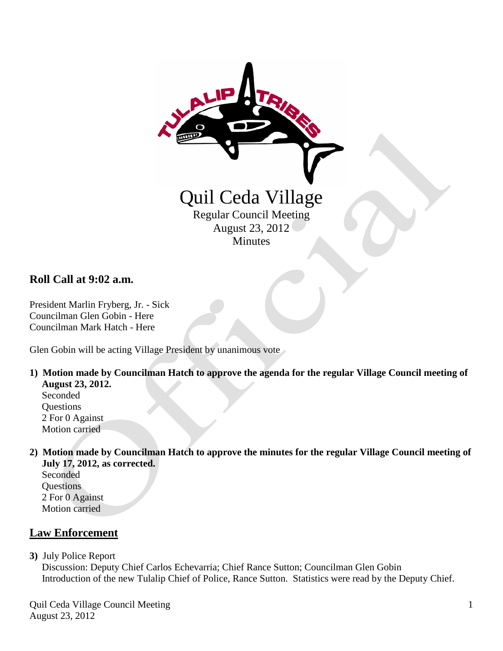

### **Roll Call at 9:02 a.m.**

President Marlin Fryberg, Jr. - Sick Councilman Glen Gobin - Here Councilman Mark Hatch - Here

Glen Gobin will be acting Village President by unanimous vote

**1) Motion made by Councilman Hatch to approve the agenda for the regular Village Council meeting of August 23, 2012.**

 Seconded **Questions**  2 For 0 Against Motion carried

**2) Motion made by Councilman Hatch to approve the minutes for the regular Village Council meeting of July 17, 2012, as corrected.**

 Seconded **Questions**  2 For 0 Against Motion carried

## **Law Enforcement**

**3)** July Police Report

 Discussion: Deputy Chief Carlos Echevarria; Chief Rance Sutton; Councilman Glen Gobin Introduction of the new Tulalip Chief of Police, Rance Sutton. Statistics were read by the Deputy Chief.

Quil Ceda Village Council Meeting August 23, 2012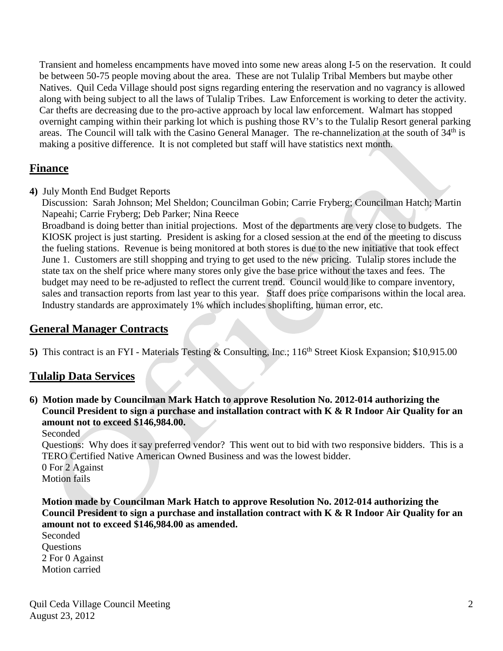Transient and homeless encampments have moved into some new areas along I-5 on the reservation. It could be between 50-75 people moving about the area. These are not Tulalip Tribal Members but maybe other Natives. Quil Ceda Village should post signs regarding entering the reservation and no vagrancy is allowed along with being subject to all the laws of Tulalip Tribes. Law Enforcement is working to deter the activity. Car thefts are decreasing due to the pro-active approach by local law enforcement. Walmart has stopped overnight camping within their parking lot which is pushing those RV's to the Tulalip Resort general parking areas. The Council will talk with the Casino General Manager. The re-channelization at the south of 34<sup>th</sup> is making a positive difference. It is not completed but staff will have statistics next month.

## **Finance**

**4)** July Month End Budget Reports

 Discussion: Sarah Johnson; Mel Sheldon; Councilman Gobin; Carrie Fryberg; Councilman Hatch; Martin Napeahi; Carrie Fryberg; Deb Parker; Nina Reece

 Broadband is doing better than initial projections. Most of the departments are very close to budgets. The KIOSK project is just starting. President is asking for a closed session at the end of the meeting to discuss the fueling stations. Revenue is being monitored at both stores is due to the new initiative that took effect June 1. Customers are still shopping and trying to get used to the new pricing. Tulalip stores include the state tax on the shelf price where many stores only give the base price without the taxes and fees. The budget may need to be re-adjusted to reflect the current trend. Council would like to compare inventory, sales and transaction reports from last year to this year. Staff does price comparisons within the local area. Industry standards are approximately 1% which includes shoplifting, human error, etc.

## **General Manager Contracts**

**5)** This contract is an FYI - Materials Testing & Consulting, Inc.; 116<sup>th</sup> Street Kiosk Expansion; \$10,915.00

# **Tulalip Data Services**

**6) Motion made by Councilman Mark Hatch to approve Resolution No. 2012-014 authorizing the Council President to sign a purchase and installation contract with K & R Indoor Air Quality for an amount not to exceed \$146,984.00.**

Seconded

 Questions: Why does it say preferred vendor? This went out to bid with two responsive bidders. This is a TERO Certified Native American Owned Business and was the lowest bidder.

 0 For 2 Against Motion fails

 **Motion made by Councilman Mark Hatch to approve Resolution No. 2012-014 authorizing the Council President to sign a purchase and installation contract with K & R Indoor Air Quality for an amount not to exceed \$146,984.00 as amended.**

 Seconded **Ouestions**  2 For 0 Against Motion carried